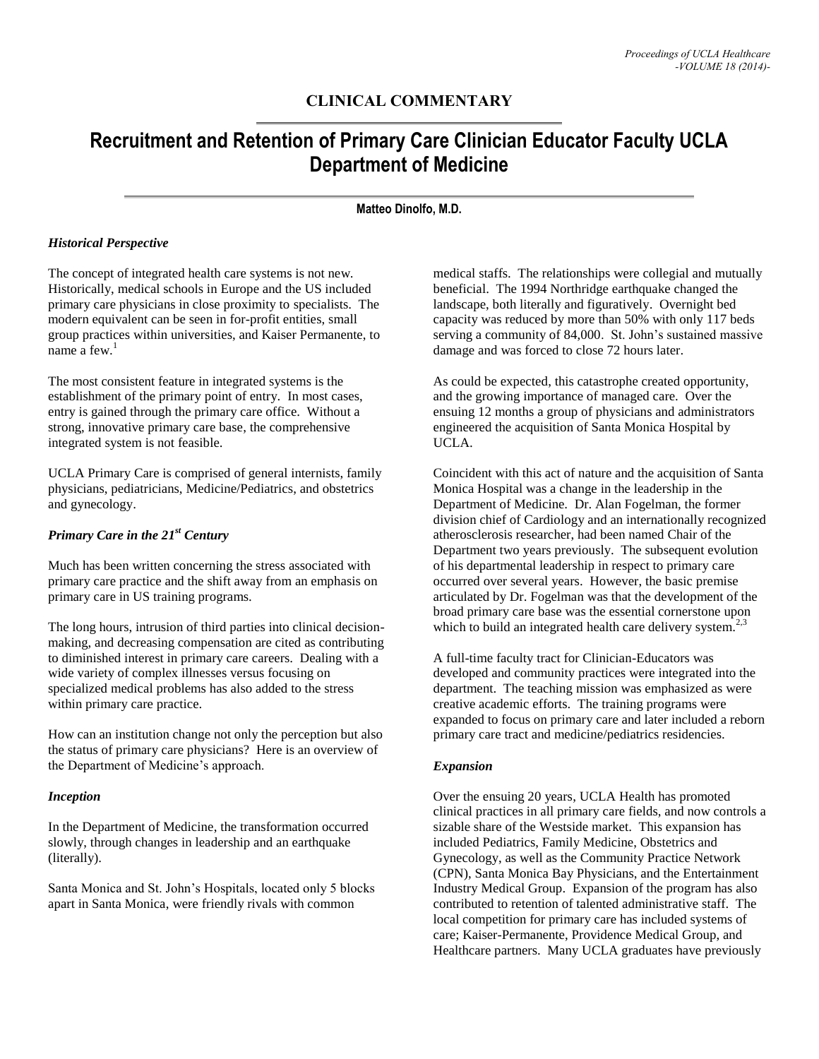# **CLINICAL COMMENTARY**

# **Recruitment and Retention of Primary Care Clinician Educator Faculty UCLA Department of Medicine**

#### **Matteo Dinolfo, M.D.**

### *Historical Perspective*

The concept of integrated health care systems is not new. Historically, medical schools in Europe and the US included primary care physicians in close proximity to specialists. The modern equivalent can be seen in for-profit entities, small group practices within universities, and Kaiser Permanente, to name a few. $<sup>1</sup>$ </sup>

The most consistent feature in integrated systems is the establishment of the primary point of entry. In most cases, entry is gained through the primary care office. Without a strong, innovative primary care base, the comprehensive integrated system is not feasible.

UCLA Primary Care is comprised of general internists, family physicians, pediatricians, Medicine/Pediatrics, and obstetrics and gynecology.

## *Primary Care in the 21st Century*

Much has been written concerning the stress associated with primary care practice and the shift away from an emphasis on primary care in US training programs.

The long hours, intrusion of third parties into clinical decisionmaking, and decreasing compensation are cited as contributing to diminished interest in primary care careers. Dealing with a wide variety of complex illnesses versus focusing on specialized medical problems has also added to the stress within primary care practice.

How can an institution change not only the perception but also the status of primary care physicians? Here is an overview of the Department of Medicine's approach.

#### *Inception*

In the Department of Medicine, the transformation occurred slowly, through changes in leadership and an earthquake (literally).

Santa Monica and St. John's Hospitals, located only 5 blocks apart in Santa Monica, were friendly rivals with common

medical staffs. The relationships were collegial and mutually beneficial. The 1994 Northridge earthquake changed the landscape, both literally and figuratively. Overnight bed capacity was reduced by more than 50% with only 117 beds serving a community of 84,000. St. John's sustained massive damage and was forced to close 72 hours later.

As could be expected, this catastrophe created opportunity, and the growing importance of managed care. Over the ensuing 12 months a group of physicians and administrators engineered the acquisition of Santa Monica Hospital by UCLA.

Coincident with this act of nature and the acquisition of Santa Monica Hospital was a change in the leadership in the Department of Medicine. Dr. Alan Fogelman, the former division chief of Cardiology and an internationally recognized atherosclerosis researcher, had been named Chair of the Department two years previously. The subsequent evolution of his departmental leadership in respect to primary care occurred over several years. However, the basic premise articulated by Dr. Fogelman was that the development of the broad primary care base was the essential cornerstone upon which to build an integrated health care delivery system.<sup>2,3</sup>

A full-time faculty tract for Clinician-Educators was developed and community practices were integrated into the department. The teaching mission was emphasized as were creative academic efforts. The training programs were expanded to focus on primary care and later included a reborn primary care tract and medicine/pediatrics residencies.

### *Expansion*

Over the ensuing 20 years, UCLA Health has promoted clinical practices in all primary care fields, and now controls a sizable share of the Westside market. This expansion has included Pediatrics, Family Medicine, Obstetrics and Gynecology, as well as the Community Practice Network (CPN), Santa Monica Bay Physicians, and the Entertainment Industry Medical Group. Expansion of the program has also contributed to retention of talented administrative staff. The local competition for primary care has included systems of care; Kaiser-Permanente, Providence Medical Group, and Healthcare partners. Many UCLA graduates have previously